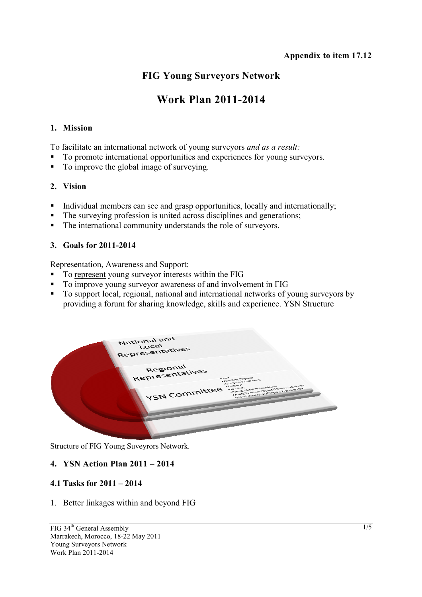## **FIG Young Surveyors Network**

# **Work Plan 2011-2014**

#### **1. Mission**

To facilitate an international network of young surveyors *and as a result:* 

- To promote international opportunities and experiences for young surveyors.
- To improve the global image of surveying.

#### **2. Vision**

- Individual members can see and grasp opportunities, locally and internationally;
- The surveying profession is united across disciplines and generations;
- The international community understands the role of surveyors.

#### **3. Goals for 2011-2014**

Representation, Awareness and Support:

- To represent young surveyor interests within the FIG
- To improve young surveyor awareness of and involvement in FIG
- To support local, regional, national and international networks of young surveyors by providing a forum for sharing knowledge, skills and experience. YSN Structure



Structure of FIG Young Suveyrors Network.

## **4. YSN Action Plan 2011 – 2014**

## **4.1 Tasks for 2011 – 2014**

1. Better linkages within and beyond FIG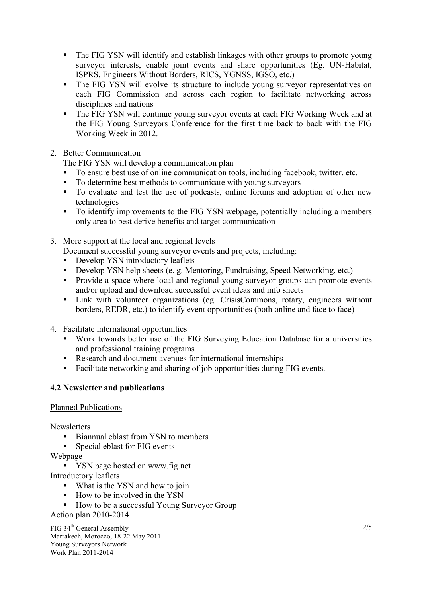- The FIG YSN will identify and establish linkages with other groups to promote young surveyor interests, enable joint events and share opportunities (Eg. UN-Habitat, ISPRS, Engineers Without Borders, RICS, YGNSS, IGSO, etc.)
- The FIG YSN will evolve its structure to include young surveyor representatives on each FIG Commission and across each region to facilitate networking across disciplines and nations
- The FIG YSN will continue young surveyor events at each FIG Working Week and at the FIG Young Surveyors Conference for the first time back to back with the FIG Working Week in 2012.
- 2. Better Communication

The FIG YSN will develop a communication plan

- To ensure best use of online communication tools, including facebook, twitter, etc.
- To determine best methods to communicate with young surveyors
- To evaluate and test the use of podcasts, online forums and adoption of other new technologies
- To identify improvements to the FIG YSN webpage, potentially including a members only area to best derive benefits and target communication
- 3. More support at the local and regional levels

Document successful young surveyor events and projects, including:

- Develop YSN introductory leaflets
- Develop YSN help sheets (e. g. Mentoring, Fundraising, Speed Networking, etc.)
- **Provide a space where local and regional young surveyor groups can promote events** and/or upload and download successful event ideas and info sheets
- Link with volunteer organizations (eg. CrisisCommons, rotary, engineers without borders, REDR, etc.) to identify event opportunities (both online and face to face)
- 4. Facilitate international opportunities
	- Work towards better use of the FIG Surveying Education Database for a universities and professional training programs
	- Research and document avenues for international internships
	- Facilitate networking and sharing of job opportunities during FIG events.

## **4.2 Newsletter and publications**

Planned Publications

**Newsletters** 

- Biannual eblast from YSN to members
- Special eblast for FIG events

Webpage

**YSN** page hosted on www.fig.net

Introductory leaflets

- What is the YSN and how to join
- How to be involved in the YSN
- How to be a successful Young Surveyor Group

Action plan 2010-2014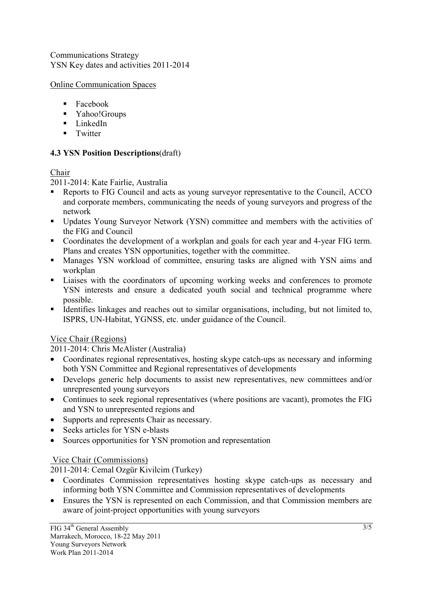Communications Strategy YSN Key dates and activities 2011-2014

Online Communication Spaces

- Facebook
- Yahoo!Groups
- $\blacksquare$  LinkedIn
- $\blacksquare$  Twitter

## **4.3 YSN Position Descriptions**(draft)

## Chair

2011-2014: Kate Fairlie, Australia

- Reports to FIG Council and acts as young surveyor representative to the Council, ACCO and corporate members, communicating the needs of young surveyors and progress of the network
- Updates Young Surveyor Network (YSN) committee and members with the activities of the FIG and Council
- Coordinates the development of a workplan and goals for each year and 4-year FIG term. Plans and creates YSN opportunities, together with the committee.
- Manages YSN workload of committee, ensuring tasks are aligned with YSN aims and workplan
- Liaises with the coordinators of upcoming working weeks and conferences to promote YSN interests and ensure a dedicated youth social and technical programme where possible.
- Identifies linkages and reaches out to similar organisations, including, but not limited to, ISPRS, UN-Habitat, YGNSS, etc. under guidance of the Council.

## Vice Chair (Regions)

2011-2014: Chris McAlister (Australia)

- Coordinates regional representatives, hosting skype catch-ups as necessary and informing both YSN Committee and Regional representatives of developments
- Develops generic help documents to assist new representatives, new committees and/or unrepresented young surveyors
- Continues to seek regional representatives (where positions are vacant), promotes the FIG and YSN to unrepresented regions and
- Supports and represents Chair as necessary.
- Seeks articles for YSN e-blasts
- Sources opportunities for YSN promotion and representation

## Vice Chair (Commissions)

2011-2014: Cemal Ozgür Kivilcim (Turkey)

- Coordinates Commission representatives hosting skype catch-ups as necessary and informing both YSN Committee and Commission representatives of developments
- Ensures the YSN is represented on each Commission, and that Commission members are aware of joint-project opportunities with young surveyors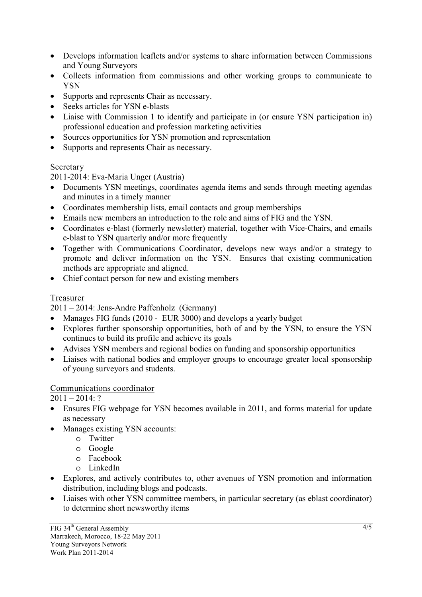- Develops information leaflets and/or systems to share information between Commissions and Young Surveyors
- Collects information from commissions and other working groups to communicate to YSN
- Supports and represents Chair as necessary.
- Seeks articles for YSN e-blasts
- Liaise with Commission 1 to identify and participate in (or ensure YSN participation in) professional education and profession marketing activities
- Sources opportunities for YSN promotion and representation
- Supports and represents Chair as necessary.

## Secretary

2011-2014: Eva-Maria Unger (Austria)

- Documents YSN meetings, coordinates agenda items and sends through meeting agendas and minutes in a timely manner
- Coordinates membership lists, email contacts and group memberships
- Emails new members an introduction to the role and aims of FIG and the YSN.
- Coordinates e-blast (formerly newsletter) material, together with Vice-Chairs, and emails e-blast to YSN quarterly and/or more frequently
- Together with Communications Coordinator, develops new ways and/or a strategy to promote and deliver information on the YSN. Ensures that existing communication methods are appropriate and aligned.
- Chief contact person for new and existing members

## Treasurer

2011 – 2014: Jens-Andre Paffenholz (Germany)

- Manages FIG funds (2010 EUR 3000) and develops a yearly budget
- Explores further sponsorship opportunities, both of and by the YSN, to ensure the YSN continues to build its profile and achieve its goals
- Advises YSN members and regional bodies on funding and sponsorship opportunities
- Liaises with national bodies and employer groups to encourage greater local sponsorship of young surveyors and students.

## Communications coordinator

 $2011 - 2014$ : ?

- Ensures FIG webpage for YSN becomes available in 2011, and forms material for update as necessary
- Manages existing YSN accounts:
	- o Twitter
	- o Google
	- o Facebook
	- o LinkedIn
- Explores, and actively contributes to, other avenues of YSN promotion and information distribution, including blogs and podcasts.
- Liaises with other YSN committee members, in particular secretary (as eblast coordinator) to determine short newsworthy items